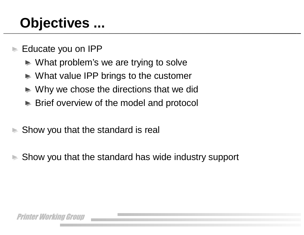## **Objectives ...**

Educate you on IPP

- $\blacktriangleright$  What problem's we are trying to solve
- ▶ What value IPP brings to the customer
- Why we chose the directions that we did
- ► Brief overview of the model and protocol
- Show you that the standard is real
- Show you that the standard has wide industry support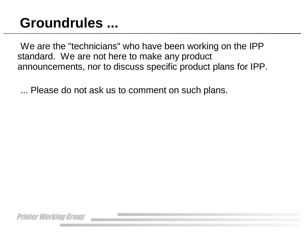### **Groundrules ...**

We are the "technicians" who have been working on the IPP standard. We are not here to make any product announcements, nor to discuss specific product plans for IPP.

... Please do not ask us to comment on such plans.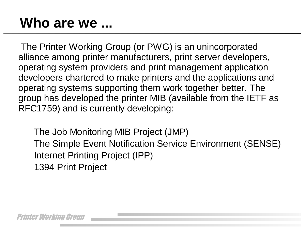#### **Who are we ...**

The Printer Working Group (or PWG) is an unincorporated alliance among printer manufacturers, print server developers, operating system providers and print management application developers chartered to make printers and the applications and operating systems supporting them work together better. The group has developed the printer MIB (available from the IETF as RFC1759) and is currently developing:

 The Job Monitoring MIB Project (JMP) The Simple Event Notification Service Environment (SENSE) Internet Printing Project (IPP) 1394 Print Project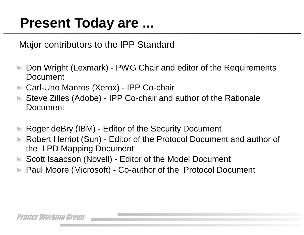### **Present Today are ...**

Major contributors to the IPP Standard

- Don Wright (Lexmark) PWG Chair and editor of the Requirements Document
- ► Carl-Uno Manros (Xerox) IPP Co-chair
- ► Steve Zilles (Adobe) IPP Co-chair and author of the Rationale Document
- Roger deBry (IBM) Editor of the Security Document
- Robert Herriot (Sun) Editor of the Protocol Document and author of the LPD Mapping Document
- ▶ Scott Isaacson (Novell) Editor of the Model Document
- ► Paul Moore (Microsoft) Co-author of the Protocol Document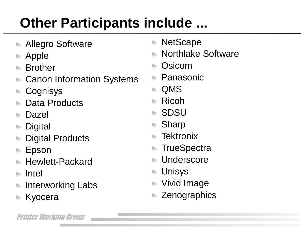# **Other Participants include ...**

- Allegro Software
- Apple
- Brother
- Canon Information Systems
- **Cognisys**
- Data Products
- Dazel
- **Digital**
- Digital Products
- Epson
- Hewlett-Packard
- Intel
- Interworking Labs
- Kyocera
- ► NetScape
- Northlake Software
- Osicom
	- Panasonic
- ► QMS
- $\blacktriangleright$  Ricoh
- ► SDSU
- ► Sharp
- **Tektronix**
- **TrueSpectra**
- Underscore
- $\blacktriangleright$  Unisys
- ► Vivid Image
- **► Zenographics**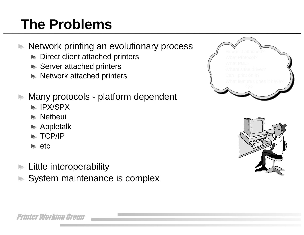## **The Problems**

- **Network printing an evolutionary process** 
	- Direct client attached printers
	- ► Server attached printers
	- $\blacktriangleright$  Network attached printers
- **Many protocols platform dependent** 
	- $\blacktriangleright$  IPX/SPX
	- $\blacktriangleright$  Netbeui
	- ► Appletalk
	- $\blacktriangleright$  TCP/IP
	- $\blacktriangleright$  etc
- $\blacktriangleright$  Little interoperability
	- System maintenance is complex



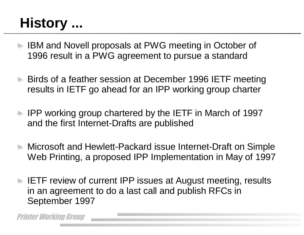## **History ...**

- IBM and Novell proposals at PWG meeting in October of 1996 result in a PWG agreement to pursue a standard
- ► Birds of a feather session at December 1996 IETF meeting results in IETF go ahead for an IPP working group charter
- IPP working group chartered by the IETF in March of 1997 and the first Internet-Drafts are published
- ► Microsoft and Hewlett-Packard issue Internet-Draft on Simple Web Printing, a proposed IPP Implementation in May of 1997
- ► IETF review of current IPP issues at August meeting, results in an agreement to do a last call and publish RFCs in September 1997

Printer Working Group